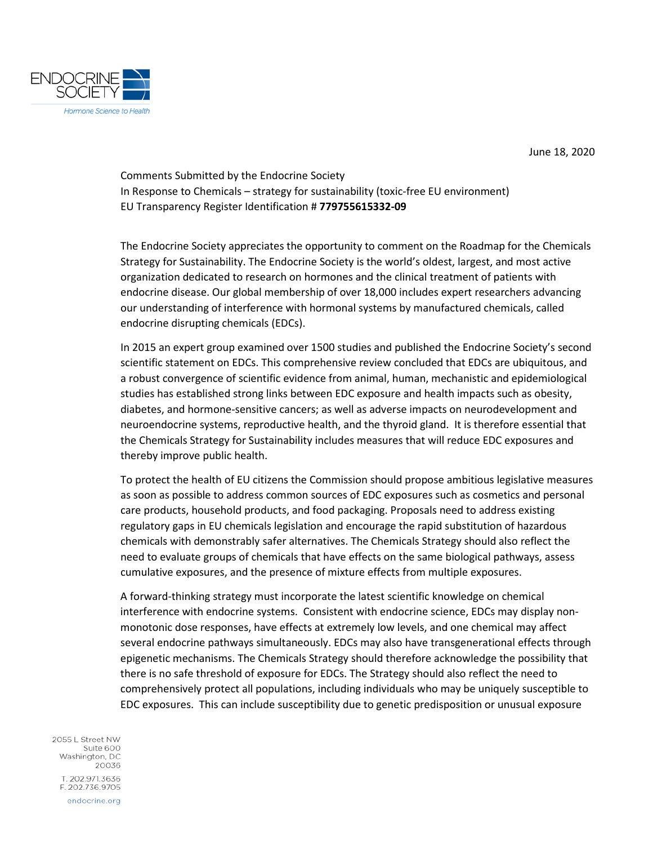

June 18, 2020

Comments Submitted by the Endocrine Society In Response to Chemicals – strategy for sustainability (toxic-free EU environment) EU Transparency Register Identification # **779755615332-09**

The Endocrine Society appreciates the opportunity to comment on the Roadmap for the Chemicals Strategy for Sustainability. The Endocrine Society is the world's oldest, largest, and most active organization dedicated to research on hormones and the clinical treatment of patients with endocrine disease. Our global membership of over 18,000 includes expert researchers advancing our understanding of interference with hormonal systems by manufactured chemicals, called endocrine disrupting chemicals (EDCs).

In 2015 an expert group examined over 1500 studies and published the Endocrine Society's second scientific statement on EDCs. This comprehensive review concluded that EDCs are ubiquitous, and a robust convergence of scientific evidence from animal, human, mechanistic and epidemiological studies has established strong links between EDC exposure and health impacts such as obesity, diabetes, and hormone-sensitive cancers; as well as adverse impacts on neurodevelopment and neuroendocrine systems, reproductive health, and the thyroid gland. It is therefore essential that the Chemicals Strategy for Sustainability includes measures that will reduce EDC exposures and thereby improve public health.

To protect the health of EU citizens the Commission should propose ambitious legislative measures as soon as possible to address common sources of EDC exposures such as cosmetics and personal care products, household products, and food packaging. Proposals need to address existing regulatory gaps in EU chemicals legislation and encourage the rapid substitution of hazardous chemicals with demonstrably safer alternatives. The Chemicals Strategy should also reflect the need to evaluate groups of chemicals that have effects on the same biological pathways, assess cumulative exposures, and the presence of mixture effects from multiple exposures.

A forward-thinking strategy must incorporate the latest scientific knowledge on chemical interference with endocrine systems. Consistent with endocrine science, EDCs may display nonmonotonic dose responses, have effects at extremely low levels, and one chemical may affect several endocrine pathways simultaneously. EDCs may also have transgenerational effects through epigenetic mechanisms. The Chemicals Strategy should therefore acknowledge the possibility that there is no safe threshold of exposure for EDCs. The Strategy should also reflect the need to comprehensively protect all populations, including individuals who may be uniquely susceptible to EDC exposures. This can include susceptibility due to genetic predisposition or unusual exposure

2055 L Street NW Suite 600 Washington, DC 20036 T. 202.971.3636 F. 202.736.9705 endocrine.org